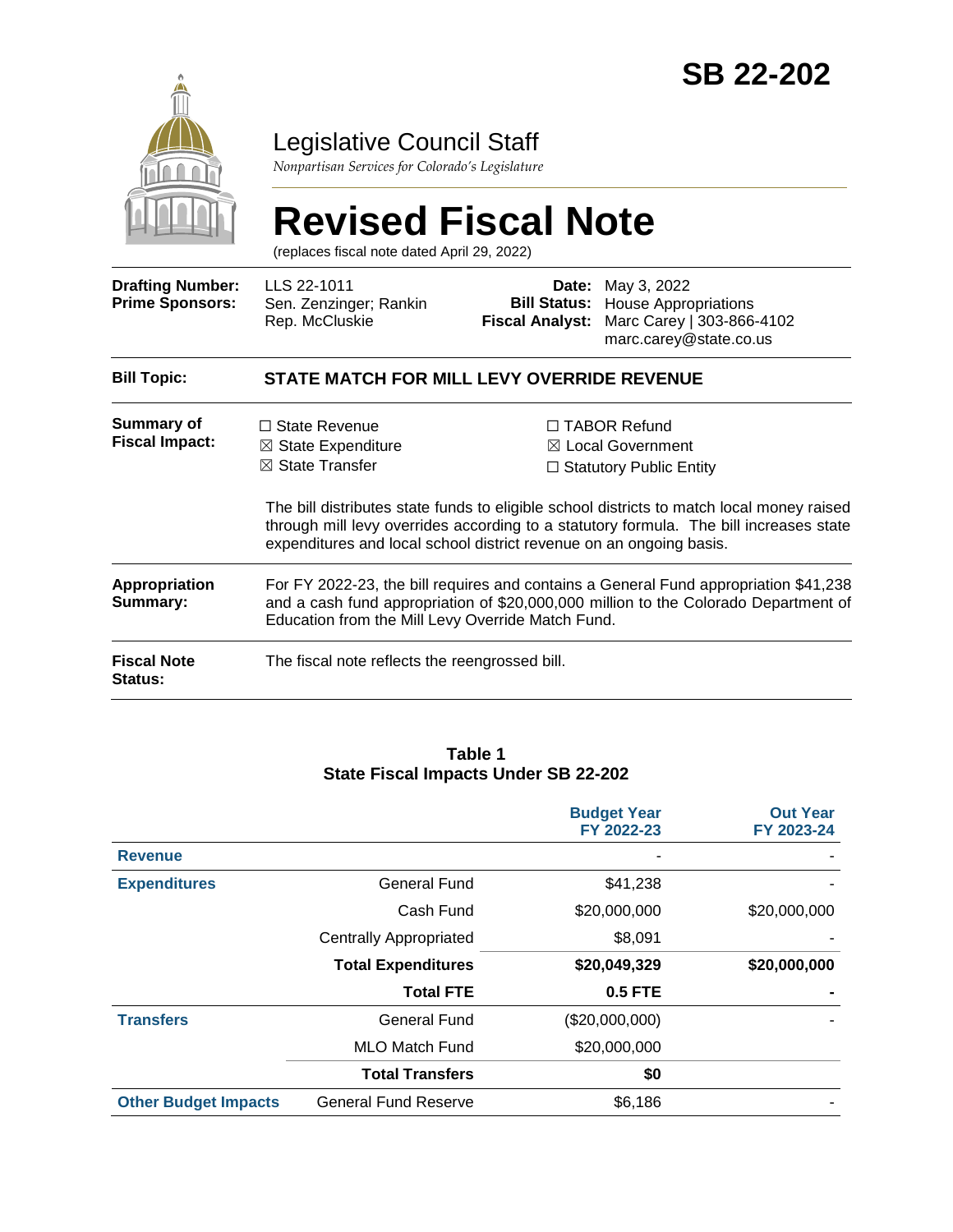

## Legislative Council Staff

*Nonpartisan Services for Colorado's Legislature*

# **Revised Fiscal Note**

(replaces fiscal note dated April 29, 2022)

| <b>Drafting Number:</b><br><b>Prime Sponsors:</b>                       | LLS 22-1011<br>Sen. Zenzinger; Rankin<br>Rep. McCluskie                                                                                                    | <b>Fiscal Analyst:</b>                                                                                                                                                                                                           | <b>Date:</b> May 3, 2022<br><b>Bill Status:</b> House Appropriations<br>Marc Carey   303-866-4102<br>marc.carey@state.co.us                                                                                                                                        |  |  |  |
|-------------------------------------------------------------------------|------------------------------------------------------------------------------------------------------------------------------------------------------------|----------------------------------------------------------------------------------------------------------------------------------------------------------------------------------------------------------------------------------|--------------------------------------------------------------------------------------------------------------------------------------------------------------------------------------------------------------------------------------------------------------------|--|--|--|
| <b>Bill Topic:</b><br><b>STATE MATCH FOR MILL LEVY OVERRIDE REVENUE</b> |                                                                                                                                                            |                                                                                                                                                                                                                                  |                                                                                                                                                                                                                                                                    |  |  |  |
| Summary of<br><b>Fiscal Impact:</b>                                     | $\Box$ State Revenue<br>$\boxtimes$ State Expenditure<br>$\boxtimes$ State Transfer<br>expenditures and local school district revenue on an ongoing basis. |                                                                                                                                                                                                                                  | $\Box$ TABOR Refund<br>⊠ Local Government<br>$\Box$ Statutory Public Entity<br>The bill distributes state funds to eligible school districts to match local money raised<br>through mill levy overrides according to a statutory formula. The bill increases state |  |  |  |
| <b>Appropriation</b><br>Summary:                                        |                                                                                                                                                            | For FY 2022-23, the bill requires and contains a General Fund appropriation \$41,238<br>and a cash fund appropriation of \$20,000,000 million to the Colorado Department of<br>Education from the Mill Levy Override Match Fund. |                                                                                                                                                                                                                                                                    |  |  |  |
| <b>Fiscal Note</b><br>Status:                                           | The fiscal note reflects the reengrossed bill.                                                                                                             |                                                                                                                                                                                                                                  |                                                                                                                                                                                                                                                                    |  |  |  |

#### **Table 1 State Fiscal Impacts Under SB 22-202**

|                             |                               | <b>Budget Year</b><br>FY 2022-23 | <b>Out Year</b><br>FY 2023-24 |
|-----------------------------|-------------------------------|----------------------------------|-------------------------------|
| <b>Revenue</b>              |                               |                                  |                               |
| <b>Expenditures</b>         | <b>General Fund</b>           | \$41,238                         |                               |
|                             | Cash Fund                     | \$20,000,000                     | \$20,000,000                  |
|                             | <b>Centrally Appropriated</b> | \$8,091                          |                               |
|                             | <b>Total Expenditures</b>     | \$20,049,329                     | \$20,000,000                  |
|                             | <b>Total FTE</b>              | <b>0.5 FTE</b>                   |                               |
| <b>Transfers</b>            | <b>General Fund</b>           | (\$20,000,000)                   |                               |
|                             | <b>MLO Match Fund</b>         | \$20,000,000                     |                               |
|                             | <b>Total Transfers</b>        | \$0                              |                               |
| <b>Other Budget Impacts</b> | <b>General Fund Reserve</b>   | \$6,186                          |                               |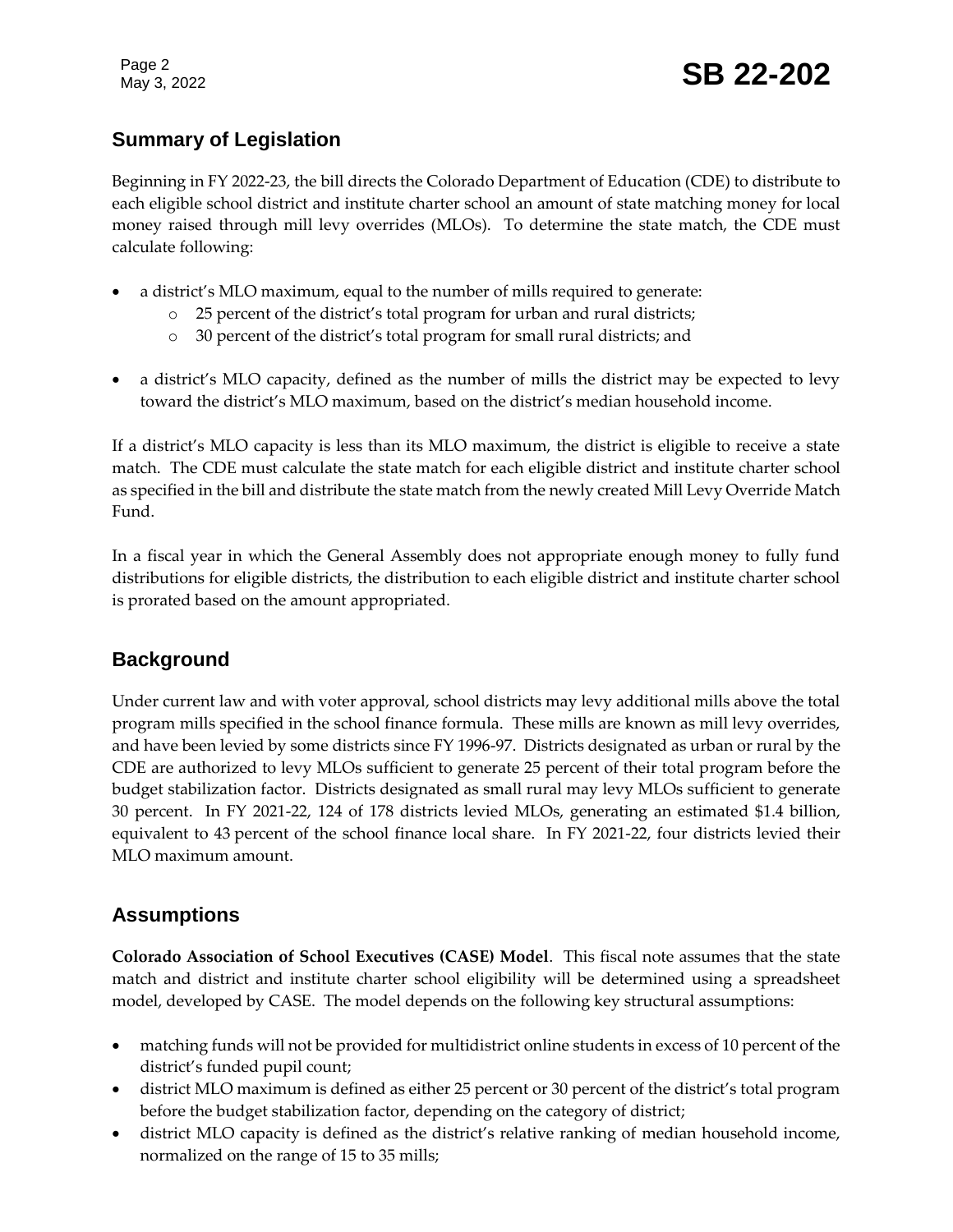## Page 2<br>May 3, 2022 **SB 22-202**

## **Summary of Legislation**

Beginning in FY 2022-23, the bill directs the Colorado Department of Education (CDE) to distribute to each eligible school district and institute charter school an amount of state matching money for local money raised through mill levy overrides (MLOs). To determine the state match, the CDE must calculate following:

- a district's MLO maximum, equal to the number of mills required to generate:
	- o 25 percent of the district's total program for urban and rural districts;
	- o 30 percent of the district's total program for small rural districts; and
- a district's MLO capacity, defined as the number of mills the district may be expected to levy toward the district's MLO maximum, based on the district's median household income.

If a district's MLO capacity is less than its MLO maximum, the district is eligible to receive a state match. The CDE must calculate the state match for each eligible district and institute charter school as specified in the bill and distribute the state match from the newly created Mill Levy Override Match Fund.

In a fiscal year in which the General Assembly does not appropriate enough money to fully fund distributions for eligible districts, the distribution to each eligible district and institute charter school is prorated based on the amount appropriated.

#### **Background**

Under current law and with voter approval, school districts may levy additional mills above the total program mills specified in the school finance formula. These mills are known as mill levy overrides, and have been levied by some districts since FY 1996-97. Districts designated as urban or rural by the CDE are authorized to levy MLOs sufficient to generate 25 percent of their total program before the budget stabilization factor. Districts designated as small rural may levy MLOs sufficient to generate 30 percent. In FY 2021-22, 124 of 178 districts levied MLOs, generating an estimated \$1.4 billion, equivalent to 43 percent of the school finance local share. In FY 2021-22, four districts levied their MLO maximum amount.

### **Assumptions**

**Colorado Association of School Executives (CASE) Model**. This fiscal note assumes that the state match and district and institute charter school eligibility will be determined using a spreadsheet model, developed by CASE. The model depends on the following key structural assumptions:

- matching funds will not be provided for multidistrict online students in excess of 10 percent of the district's funded pupil count;
- district MLO maximum is defined as either 25 percent or 30 percent of the district's total program before the budget stabilization factor, depending on the category of district;
- district MLO capacity is defined as the district's relative ranking of median household income, normalized on the range of 15 to 35 mills;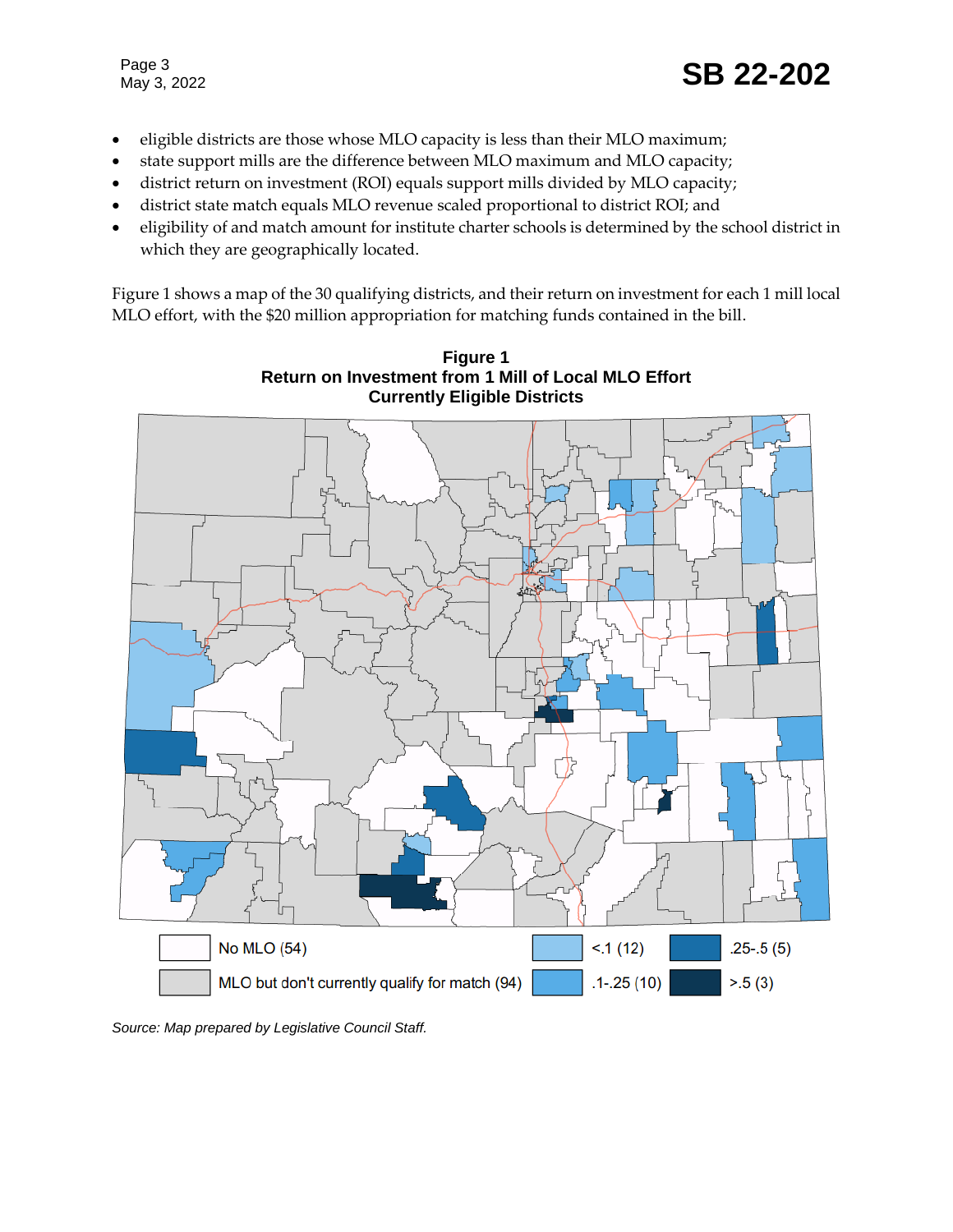- eligible districts are those whose MLO capacity is less than their MLO maximum;
- state support mills are the difference between MLO maximum and MLO capacity;
- district return on investment (ROI) equals support mills divided by MLO capacity;
- district state match equals MLO revenue scaled proportional to district ROI; and
- eligibility of and match amount for institute charter schools is determined by the school district in which they are geographically located.

Figure 1 shows a map of the 30 qualifying districts, and their return on investment for each 1 mill local MLO effort, with the \$20 million appropriation for matching funds contained in the bill.



**Figure 1 Return on Investment from 1 Mill of Local MLO Effort**

*Source: Map prepared by Legislative Council Staff.*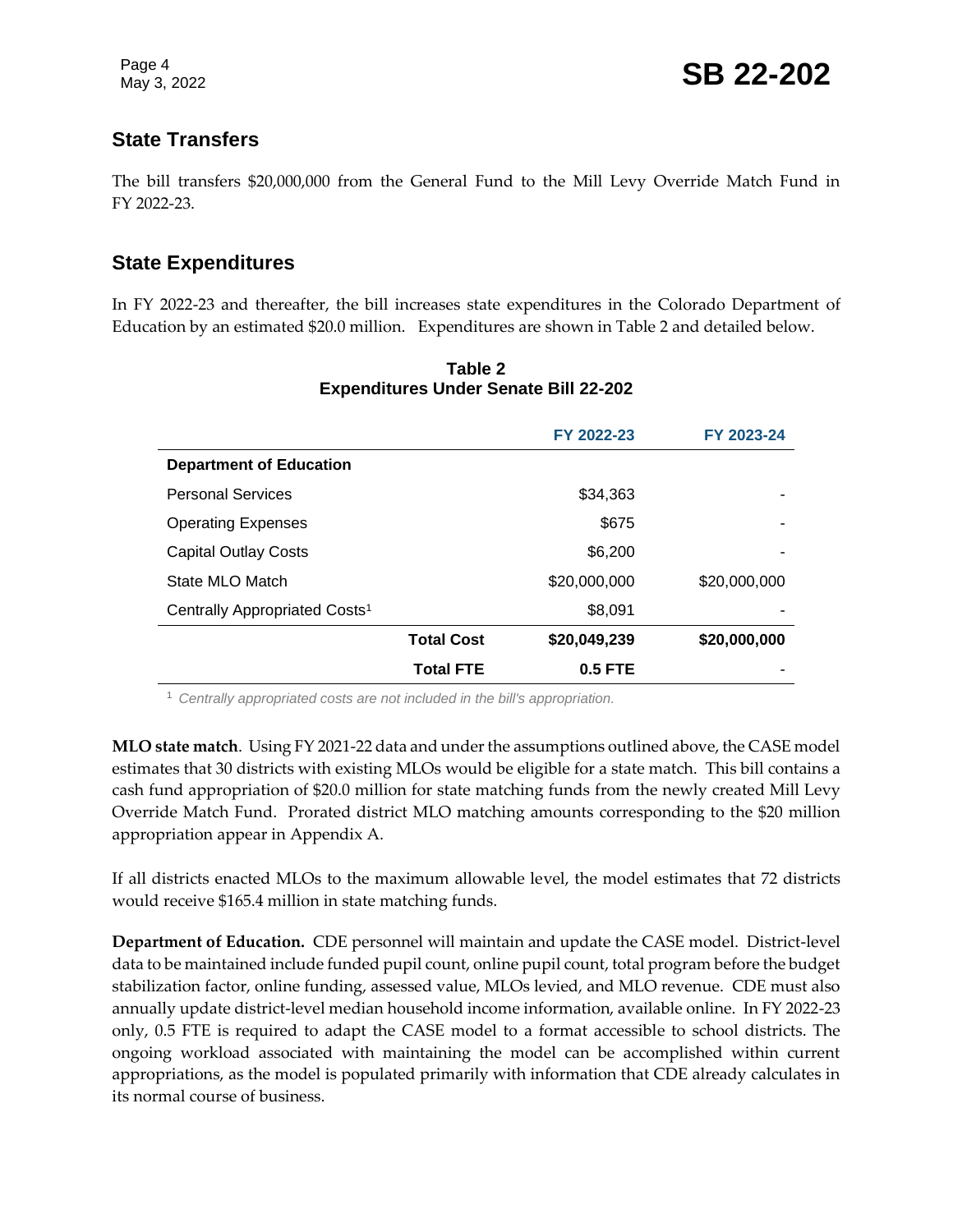### **State Transfers**

The bill transfers \$20,000,000 from the General Fund to the Mill Levy Override Match Fund in FY 2022-23.

#### **State Expenditures**

In FY 2022-23 and thereafter, the bill increases state expenditures in the Colorado Department of Education by an estimated \$20.0 million. Expenditures are shown in Table 2 and detailed below.

|                                           |                   | FY 2022-23   | FY 2023-24   |
|-------------------------------------------|-------------------|--------------|--------------|
| <b>Department of Education</b>            |                   |              |              |
| <b>Personal Services</b>                  |                   | \$34,363     |              |
| <b>Operating Expenses</b>                 |                   | \$675        | ۰            |
| <b>Capital Outlay Costs</b>               |                   | \$6,200      |              |
| State MLO Match                           |                   | \$20,000,000 | \$20,000,000 |
| Centrally Appropriated Costs <sup>1</sup> |                   | \$8,091      |              |
|                                           | <b>Total Cost</b> | \$20,049,239 | \$20,000,000 |
|                                           | <b>Total FTE</b>  | $0.5$ FTE    |              |

#### **Table 2 Expenditures Under Senate Bill 22-202**

<sup>1</sup> *Centrally appropriated costs are not included in the bill's appropriation.*

**MLO state match**. Using FY 2021-22 data and under the assumptions outlined above, the CASE model estimates that 30 districts with existing MLOs would be eligible for a state match. This bill contains a cash fund appropriation of \$20.0 million for state matching funds from the newly created Mill Levy Override Match Fund. Prorated district MLO matching amounts corresponding to the \$20 million appropriation appear in Appendix A.

If all districts enacted MLOs to the maximum allowable level, the model estimates that 72 districts would receive \$165.4 million in state matching funds.

**Department of Education.** CDE personnel will maintain and update the CASE model. District-level data to be maintained include funded pupil count, online pupil count, total program before the budget stabilization factor, online funding, assessed value, MLOs levied, and MLO revenue. CDE must also annually update district-level median household income information, available online. In FY 2022-23 only, 0.5 FTE is required to adapt the CASE model to a format accessible to school districts. The ongoing workload associated with maintaining the model can be accomplished within current appropriations, as the model is populated primarily with information that CDE already calculates in its normal course of business.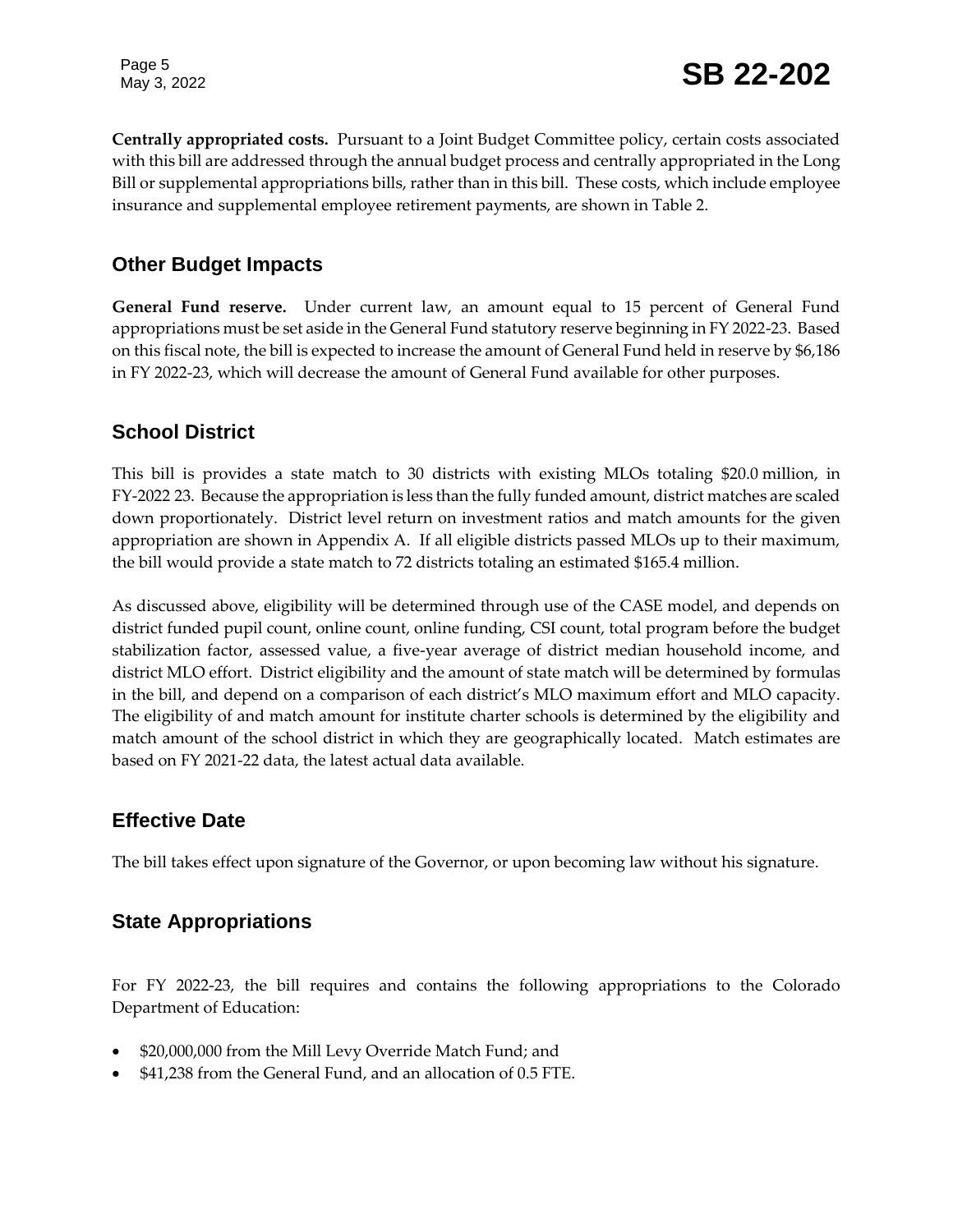**Centrally appropriated costs.** Pursuant to a Joint Budget Committee policy, certain costs associated with this bill are addressed through the annual budget process and centrally appropriated in the Long Bill or supplemental appropriations bills, rather than in this bill. These costs, which include employee insurance and supplemental employee retirement payments, are shown in Table 2.

#### **Other Budget Impacts**

**General Fund reserve.** Under current law, an amount equal to 15 percent of General Fund appropriations must be set aside in the General Fund statutory reserve beginning in FY 2022-23. Based on this fiscal note, the bill is expected to increase the amount of General Fund held in reserve by \$6,186 in FY 2022-23, which will decrease the amount of General Fund available for other purposes.

#### **School District**

This bill is provides a state match to 30 districts with existing MLOs totaling \$20.0 million, in FY-2022 23. Because the appropriation is less than the fully funded amount, district matches are scaled down proportionately. District level return on investment ratios and match amounts for the given appropriation are shown in Appendix A. If all eligible districts passed MLOs up to their maximum, the bill would provide a state match to 72 districts totaling an estimated \$165.4 million.

As discussed above, eligibility will be determined through use of the CASE model, and depends on district funded pupil count, online count, online funding, CSI count, total program before the budget stabilization factor, assessed value, a five-year average of district median household income, and district MLO effort. District eligibility and the amount of state match will be determined by formulas in the bill, and depend on a comparison of each district's MLO maximum effort and MLO capacity. The eligibility of and match amount for institute charter schools is determined by the eligibility and match amount of the school district in which they are geographically located. Match estimates are based on FY 2021-22 data, the latest actual data available.

### **Effective Date**

The bill takes effect upon signature of the Governor, or upon becoming law without his signature.

### **State Appropriations**

For FY 2022-23, the bill requires and contains the following appropriations to the Colorado Department of Education:

- \$20,000,000 from the Mill Levy Override Match Fund; and
- \$41,238 from the General Fund, and an allocation of 0.5 FTE.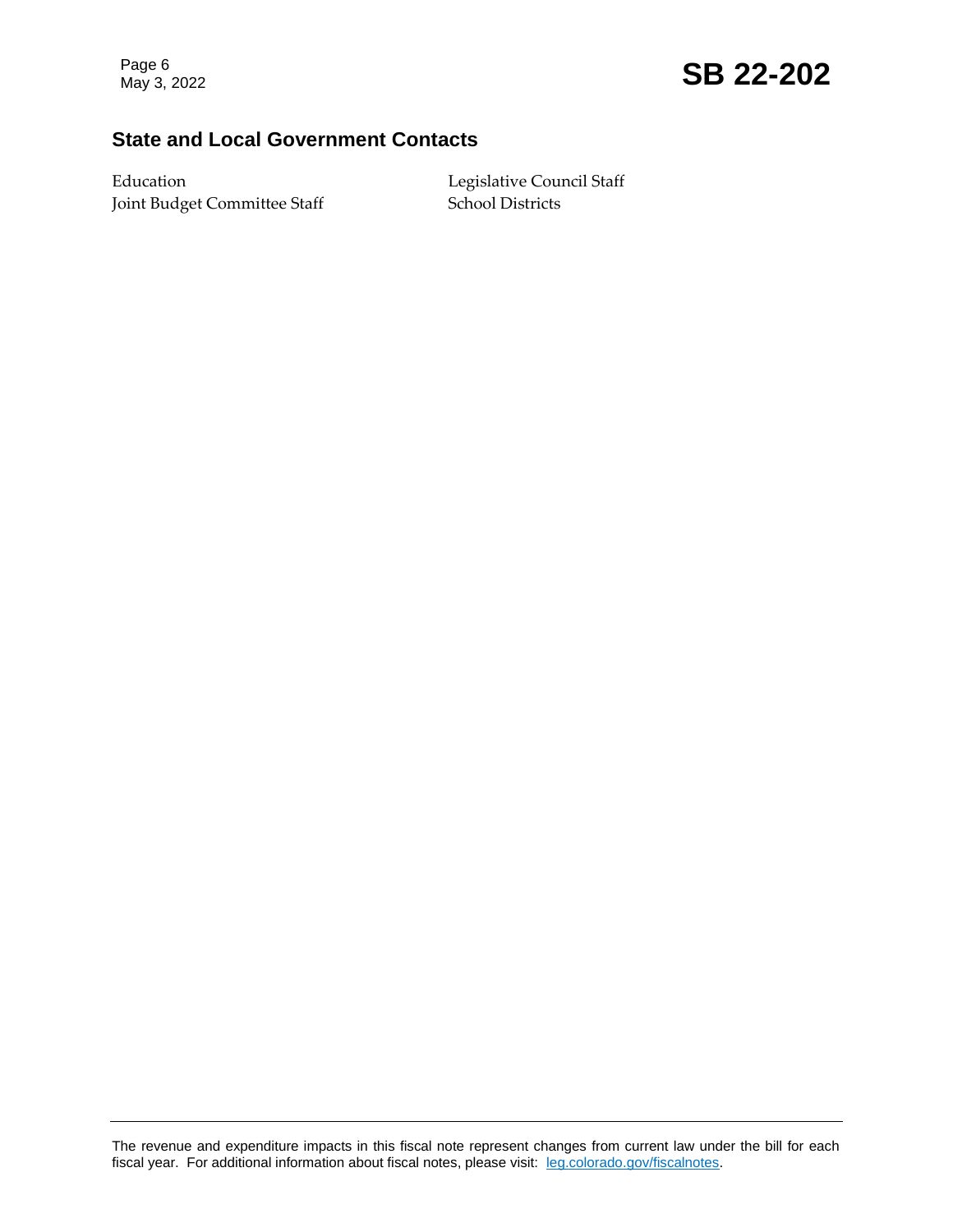## Page 6<br>May 3, 2022 **SB 22-202**

#### **State and Local Government Contacts**

Education Legislative Council Staff Joint Budget Committee Staff School Districts

The revenue and expenditure impacts in this fiscal note represent changes from current law under the bill for each fiscal year. For additional information about fiscal notes, please visit: [leg.colorado.gov/fiscalnotes.](https://leg.colorado.gov/fiscalnotes)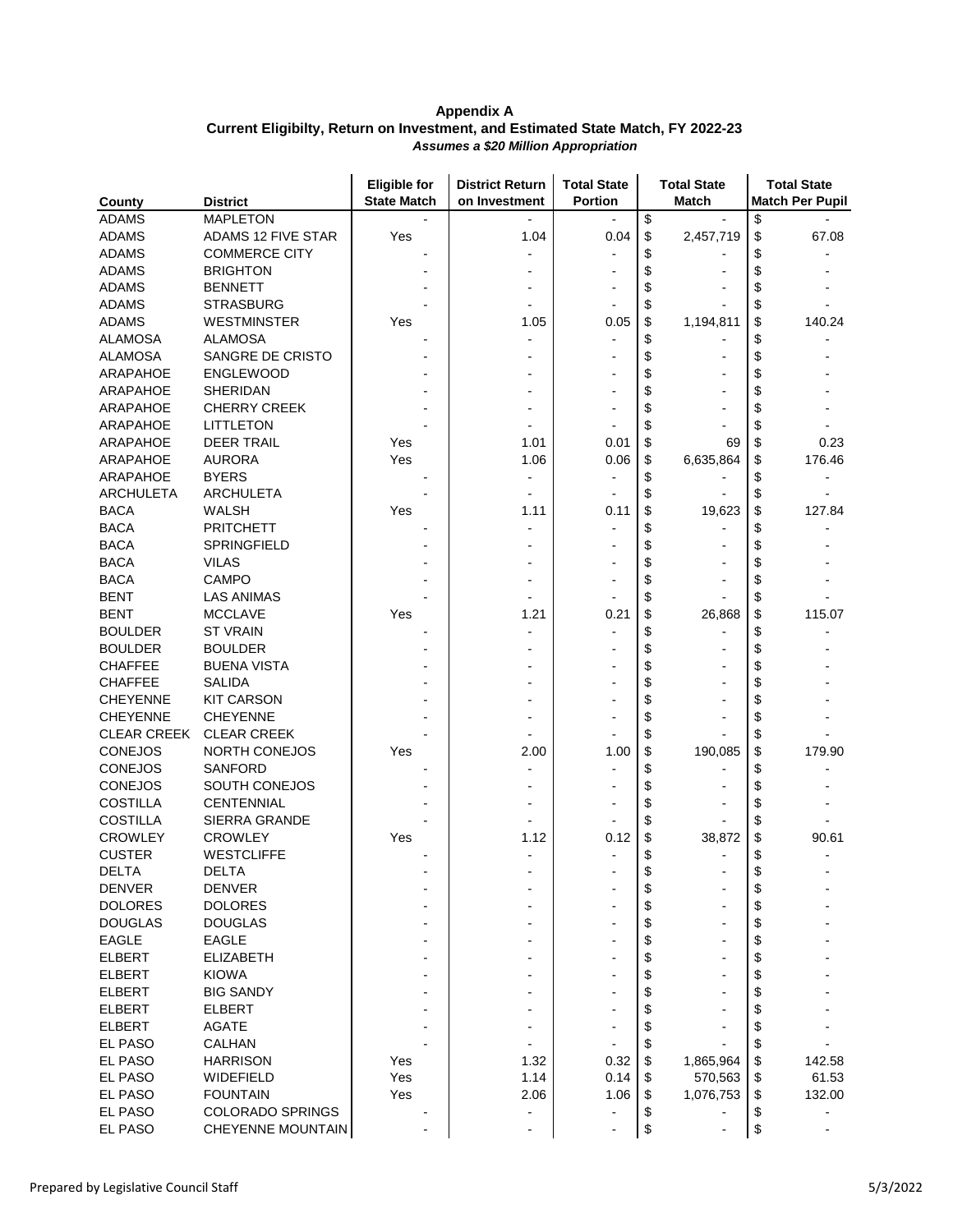|                    |                         | <b>Eligible for</b><br><b>State Match</b> | <b>District Return</b>   | <b>Total State</b> | <b>Total State</b><br><b>Match</b> | <b>Total State</b>     |
|--------------------|-------------------------|-------------------------------------------|--------------------------|--------------------|------------------------------------|------------------------|
| County             | <b>District</b>         |                                           | on Investment            | <b>Portion</b>     |                                    | <b>Match Per Pupil</b> |
| <b>ADAMS</b>       | <b>MAPLETON</b>         |                                           |                          |                    | \$                                 | \$                     |
| <b>ADAMS</b>       | ADAMS 12 FIVE STAR      | Yes                                       | 1.04                     | 0.04               | \$<br>2,457,719                    | \$<br>67.08            |
| <b>ADAMS</b>       | <b>COMMERCE CITY</b>    |                                           |                          |                    | \$                                 | \$                     |
| <b>ADAMS</b>       | <b>BRIGHTON</b>         |                                           |                          |                    | \$                                 | \$                     |
| <b>ADAMS</b>       | <b>BENNETT</b>          |                                           |                          |                    | \$                                 | \$                     |
| <b>ADAMS</b>       | <b>STRASBURG</b>        |                                           |                          |                    | \$                                 | \$                     |
| <b>ADAMS</b>       | <b>WESTMINSTER</b>      | Yes                                       | 1.05                     | 0.05               | \$<br>1,194,811                    | \$<br>140.24           |
| <b>ALAMOSA</b>     | <b>ALAMOSA</b>          |                                           |                          |                    | \$                                 | \$                     |
| <b>ALAMOSA</b>     | SANGRE DE CRISTO        |                                           |                          |                    | \$                                 | \$                     |
| <b>ARAPAHOE</b>    | <b>ENGLEWOOD</b>        |                                           |                          |                    | \$                                 | \$                     |
| <b>ARAPAHOE</b>    | <b>SHERIDAN</b>         |                                           |                          |                    | \$                                 | \$                     |
| ARAPAHOE           | <b>CHERRY CREEK</b>     |                                           |                          |                    | \$                                 | \$                     |
| ARAPAHOE           | <b>LITTLETON</b>        |                                           |                          |                    | \$                                 | \$                     |
| <b>ARAPAHOE</b>    | <b>DEER TRAIL</b>       | Yes                                       | 1.01                     | 0.01               | \$<br>69                           | \$<br>0.23             |
| ARAPAHOE           | <b>AURORA</b>           | Yes                                       | 1.06                     | 0.06               | \$<br>6,635,864                    | \$<br>176.46           |
| ARAPAHOE           | <b>BYERS</b>            |                                           |                          |                    | \$                                 | \$                     |
| <b>ARCHULETA</b>   | <b>ARCHULETA</b>        |                                           |                          |                    | \$                                 | \$                     |
| <b>BACA</b>        | <b>WALSH</b>            | Yes                                       | 1.11                     | 0.11               | \$<br>19,623                       | \$<br>127.84           |
| <b>BACA</b>        | <b>PRITCHETT</b>        |                                           |                          |                    | \$                                 | \$                     |
| <b>BACA</b>        | SPRINGFIELD             |                                           |                          |                    | \$                                 | \$                     |
| <b>BACA</b>        | VILAS                   |                                           |                          |                    | \$                                 | \$                     |
| <b>BACA</b>        | <b>CAMPO</b>            |                                           |                          |                    | \$                                 | \$                     |
| <b>BENT</b>        | <b>LAS ANIMAS</b>       |                                           |                          |                    | \$                                 | \$                     |
| <b>BENT</b>        | <b>MCCLAVE</b>          | Yes                                       | 1.21                     | 0.21               | \$<br>26,868                       | \$<br>115.07           |
| <b>BOULDER</b>     | ST VRAIN                |                                           |                          |                    | \$                                 | \$                     |
| <b>BOULDER</b>     | <b>BOULDER</b>          |                                           |                          |                    | \$                                 | \$                     |
| <b>CHAFFEE</b>     | <b>BUENA VISTA</b>      |                                           |                          |                    | \$                                 | \$                     |
| <b>CHAFFEE</b>     | <b>SALIDA</b>           |                                           |                          |                    | \$                                 | \$                     |
| <b>CHEYENNE</b>    | <b>KIT CARSON</b>       |                                           |                          |                    | \$                                 | \$                     |
| <b>CHEYENNE</b>    | <b>CHEYENNE</b>         |                                           |                          |                    | \$                                 | \$                     |
| <b>CLEAR CREEK</b> | <b>CLEAR CREEK</b>      |                                           |                          |                    | \$                                 | \$                     |
| <b>CONEJOS</b>     | NORTH CONEJOS           | Yes                                       | 2.00                     | 1.00               | \$<br>190,085                      | \$<br>179.90           |
| <b>CONEJOS</b>     | SANFORD                 |                                           |                          |                    | \$                                 | \$                     |
| <b>CONEJOS</b>     | SOUTH CONEJOS           |                                           |                          |                    | \$                                 | \$                     |
| <b>COSTILLA</b>    | <b>CENTENNIAL</b>       |                                           |                          |                    | \$                                 | \$                     |
| <b>COSTILLA</b>    | SIERRA GRANDE           |                                           |                          |                    | \$                                 | \$                     |
| <b>CROWLEY</b>     | <b>CROWLEY</b>          | Yes                                       | 1.12                     | 0.12               | \$<br>38,872                       | \$<br>90.61            |
| <b>CUSTER</b>      | <b>WESTCLIFFE</b>       |                                           |                          |                    | \$                                 | \$                     |
| <b>DELTA</b>       | <b>DELTA</b>            |                                           |                          |                    | \$                                 | \$                     |
| <b>DENVER</b>      | <b>DENVER</b>           |                                           |                          |                    | \$                                 | \$                     |
| <b>DOLORES</b>     | <b>DOLORES</b>          |                                           |                          |                    | \$                                 | \$                     |
| <b>DOUGLAS</b>     | <b>DOUGLAS</b>          |                                           |                          |                    | \$                                 | \$                     |
| <b>EAGLE</b>       | <b>EAGLE</b>            |                                           |                          |                    | \$                                 | \$                     |
| <b>ELBERT</b>      | <b>ELIZABETH</b>        |                                           |                          |                    | \$                                 | \$                     |
| <b>ELBERT</b>      | <b>KIOWA</b>            |                                           |                          |                    | \$                                 | \$                     |
| <b>ELBERT</b>      | <b>BIG SANDY</b>        |                                           |                          |                    | \$                                 | \$                     |
| <b>ELBERT</b>      | <b>ELBERT</b>           |                                           |                          |                    | \$                                 | \$                     |
| <b>ELBERT</b>      | <b>AGATE</b>            |                                           |                          |                    | \$                                 | \$                     |
| EL PASO            | <b>CALHAN</b>           |                                           |                          |                    | \$                                 | \$                     |
| EL PASO            | <b>HARRISON</b>         | Yes                                       | 1.32                     | 0.32               | \$<br>1,865,964                    | \$<br>142.58           |
| EL PASO            | WIDEFIELD               | Yes                                       | 1.14                     | 0.14               | 570,563<br>\$                      | 61.53<br>\$            |
| EL PASO            | <b>FOUNTAIN</b>         | Yes                                       | 2.06                     | 1.06               | 1,076,753<br>\$                    | 132.00<br>\$           |
| EL PASO            | <b>COLORADO SPRINGS</b> |                                           |                          |                    | \$                                 | \$                     |
| EL PASO            | CHEYENNE MOUNTAIN       |                                           | $\overline{\phantom{a}}$ |                    | \$                                 | \$<br>$\overline{a}$   |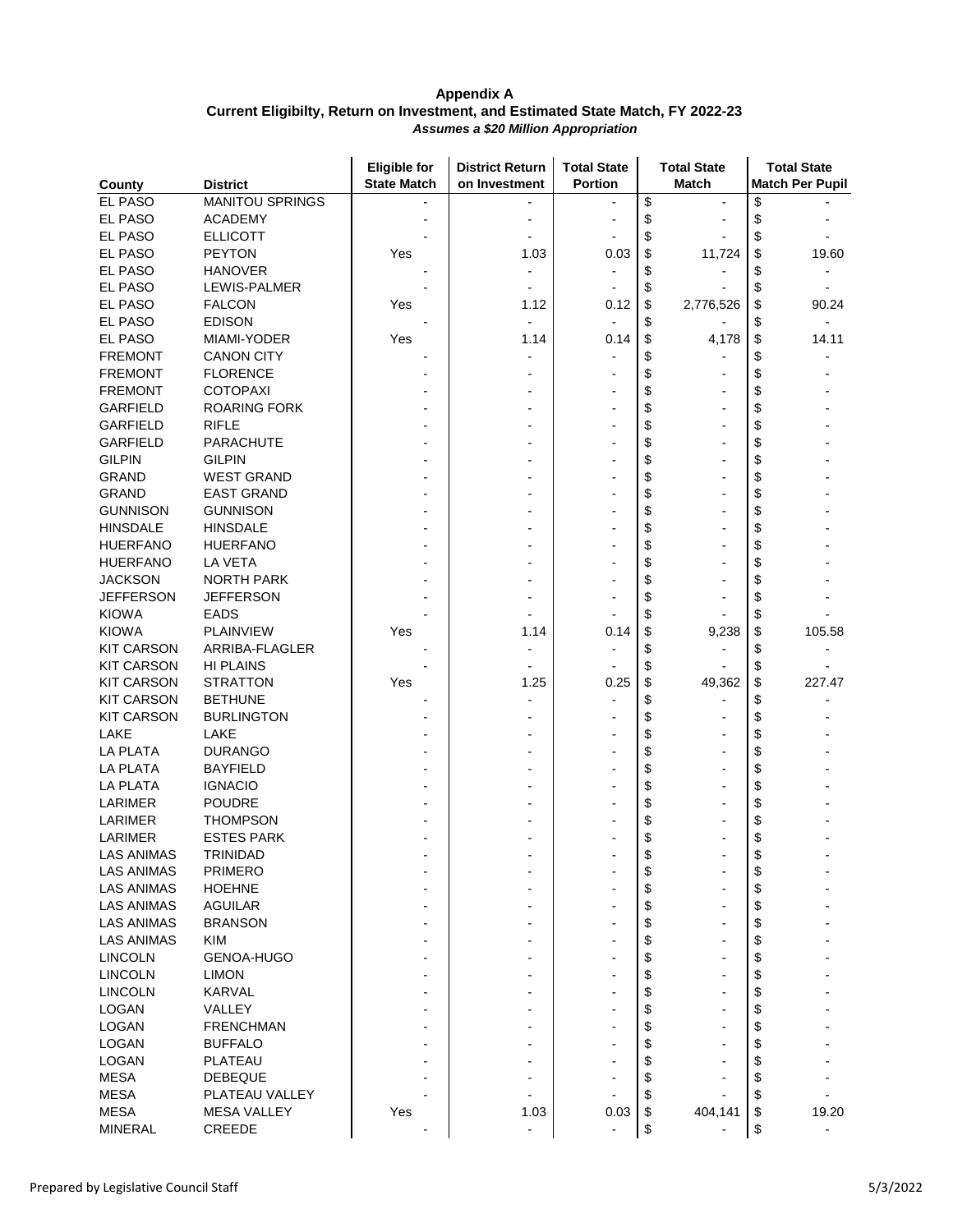|                   |                                  | <b>Eligible for</b> | <b>District Return</b> | <b>Total State</b> |                      | <b>Total State</b> |          | <b>Total State</b>     |
|-------------------|----------------------------------|---------------------|------------------------|--------------------|----------------------|--------------------|----------|------------------------|
| County            | <b>District</b>                  | <b>State Match</b>  | on Investment          | Portion            |                      | <b>Match</b>       |          | <b>Match Per Pupil</b> |
| EL PASO           | <b>MANITOU SPRINGS</b>           |                     |                        |                    | \$                   | $\blacksquare$     | \$       |                        |
| EL PASO           | <b>ACADEMY</b>                   |                     |                        |                    | \$                   |                    | \$       |                        |
| EL PASO           | <b>ELLICOTT</b>                  |                     |                        |                    | \$                   |                    | \$       |                        |
| EL PASO           | <b>PEYTON</b>                    | Yes                 | 1.03                   | 0.03               | \$                   | 11,724             | \$       | 19.60                  |
| EL PASO           | <b>HANOVER</b>                   |                     |                        |                    | \$                   |                    | \$       |                        |
| EL PASO           | LEWIS-PALMER                     |                     |                        |                    | \$                   |                    | \$       |                        |
| EL PASO           | <b>FALCON</b>                    | Yes                 | 1.12                   | 0.12               | \$                   | 2,776,526          | \$       | 90.24                  |
| EL PASO           | <b>EDISON</b>                    |                     |                        |                    | \$                   |                    | \$       |                        |
| EL PASO           | MIAMI-YODER                      | Yes                 | 1.14                   | 0.14               | \$                   | 4,178              | \$       | 14.11                  |
| <b>FREMONT</b>    | <b>CANON CITY</b>                |                     |                        |                    | \$                   |                    | \$       |                        |
| <b>FREMONT</b>    | <b>FLORENCE</b>                  |                     |                        |                    | \$                   |                    | \$       |                        |
| <b>FREMONT</b>    | <b>COTOPAXI</b>                  |                     |                        |                    | \$                   |                    | \$       |                        |
| <b>GARFIELD</b>   | <b>ROARING FORK</b>              |                     |                        |                    | \$                   |                    | \$       |                        |
| <b>GARFIELD</b>   | <b>RIFLE</b>                     |                     |                        |                    | \$                   |                    | \$       |                        |
| <b>GARFIELD</b>   | PARACHUTE                        |                     |                        |                    | \$                   |                    | \$       |                        |
| <b>GILPIN</b>     | <b>GILPIN</b>                    |                     |                        |                    | \$                   |                    | \$       |                        |
| <b>GRAND</b>      | <b>WEST GRAND</b>                |                     |                        |                    | \$                   |                    | \$       |                        |
| <b>GRAND</b>      | <b>EAST GRAND</b>                |                     |                        |                    | \$                   |                    | \$       |                        |
| <b>GUNNISON</b>   | <b>GUNNISON</b>                  |                     |                        |                    | \$                   |                    | \$       |                        |
| <b>HINSDALE</b>   | <b>HINSDALE</b>                  |                     |                        |                    | \$                   |                    | \$       |                        |
| <b>HUERFANO</b>   | <b>HUERFANO</b>                  |                     |                        |                    | \$                   |                    | \$       |                        |
| <b>HUERFANO</b>   | LA VETA                          |                     |                        |                    | \$                   |                    | \$       |                        |
| <b>JACKSON</b>    | <b>NORTH PARK</b>                |                     |                        |                    | \$                   |                    | \$       |                        |
| <b>JEFFERSON</b>  | <b>JEFFERSON</b>                 |                     |                        |                    | \$                   |                    | \$       |                        |
| <b>KIOWA</b>      | EADS                             |                     |                        |                    | \$                   |                    | \$       |                        |
| <b>KIOWA</b>      | <b>PLAINVIEW</b>                 | Yes                 | 1.14                   | 0.14               | \$                   | 9,238              | \$       | 105.58                 |
| <b>KIT CARSON</b> | ARRIBA-FLAGLER                   |                     |                        |                    | \$                   |                    | \$       |                        |
| <b>KIT CARSON</b> | <b>HI PLAINS</b>                 |                     |                        |                    | \$                   |                    | \$       |                        |
| <b>KIT CARSON</b> | <b>STRATTON</b>                  | Yes                 | 1.25                   | 0.25               | \$                   | 49,362             | \$       | 227.47                 |
| <b>KIT CARSON</b> | <b>BETHUNE</b>                   |                     |                        |                    | \$                   |                    | \$       |                        |
| <b>KIT CARSON</b> | <b>BURLINGTON</b>                |                     |                        |                    | \$                   |                    | \$       |                        |
| LAKE              | LAKE                             |                     |                        |                    | \$                   |                    | \$       |                        |
| <b>LA PLATA</b>   | <b>DURANGO</b>                   |                     |                        |                    | \$                   |                    | \$       |                        |
| <b>LA PLATA</b>   | <b>BAYFIELD</b>                  |                     |                        |                    | \$                   |                    | \$       |                        |
| <b>LA PLATA</b>   | <b>IGNACIO</b>                   |                     |                        |                    | \$                   |                    | \$       |                        |
| LARIMER           | <b>POUDRE</b>                    |                     |                        |                    | \$                   |                    | \$       |                        |
| LARIMER           | <b>THOMPSON</b>                  |                     |                        |                    | \$                   |                    | \$       |                        |
| LARIMER           | <b>ESTES PARK</b>                |                     |                        |                    | \$                   |                    | \$       |                        |
| <b>LAS ANIMAS</b> | TRINIDAD                         |                     |                        |                    | \$                   |                    | \$       |                        |
| <b>LAS ANIMAS</b> | <b>PRIMERO</b>                   |                     |                        |                    | \$                   |                    | \$       |                        |
| <b>LAS ANIMAS</b> | <b>HOEHNE</b>                    |                     |                        |                    | \$                   |                    | \$       |                        |
| <b>LAS ANIMAS</b> | <b>AGUILAR</b>                   |                     |                        |                    | \$                   | ۰                  | \$       |                        |
| <b>LAS ANIMAS</b> | <b>BRANSON</b>                   |                     |                        |                    | \$                   |                    | \$       |                        |
| <b>LAS ANIMAS</b> | <b>KIM</b>                       |                     |                        |                    | \$                   |                    | \$       |                        |
| <b>LINCOLN</b>    | GENOA-HUGO                       |                     |                        |                    | \$                   |                    | \$       |                        |
| <b>LINCOLN</b>    | <b>LIMON</b>                     |                     |                        |                    | \$                   |                    | \$       |                        |
| <b>LINCOLN</b>    | <b>KARVAL</b>                    |                     |                        |                    | \$                   |                    | \$       |                        |
| LOGAN             | <b>VALLEY</b>                    |                     |                        |                    | \$                   |                    | \$       |                        |
| LOGAN             | <b>FRENCHMAN</b>                 |                     |                        |                    | \$                   |                    | \$       |                        |
| LOGAN             | <b>BUFFALO</b>                   |                     |                        |                    | \$                   |                    | \$       |                        |
| LOGAN             | PLATEAU                          |                     |                        |                    | \$                   |                    |          |                        |
| <b>MESA</b>       |                                  |                     |                        |                    |                      |                    | \$       |                        |
| <b>MESA</b>       | <b>DEBEQUE</b><br>PLATEAU VALLEY |                     |                        |                    | \$                   |                    | \$<br>\$ |                        |
| <b>MESA</b>       | <b>MESA VALLEY</b>               |                     |                        |                    | \$                   |                    |          |                        |
|                   |                                  | Yes                 | 1.03                   | 0.03               | \$                   | 404,141            | \$       | 19.20                  |
| <b>MINERAL</b>    | CREEDE                           |                     |                        |                    | $\pmb{\mathfrak{P}}$ |                    | \$       |                        |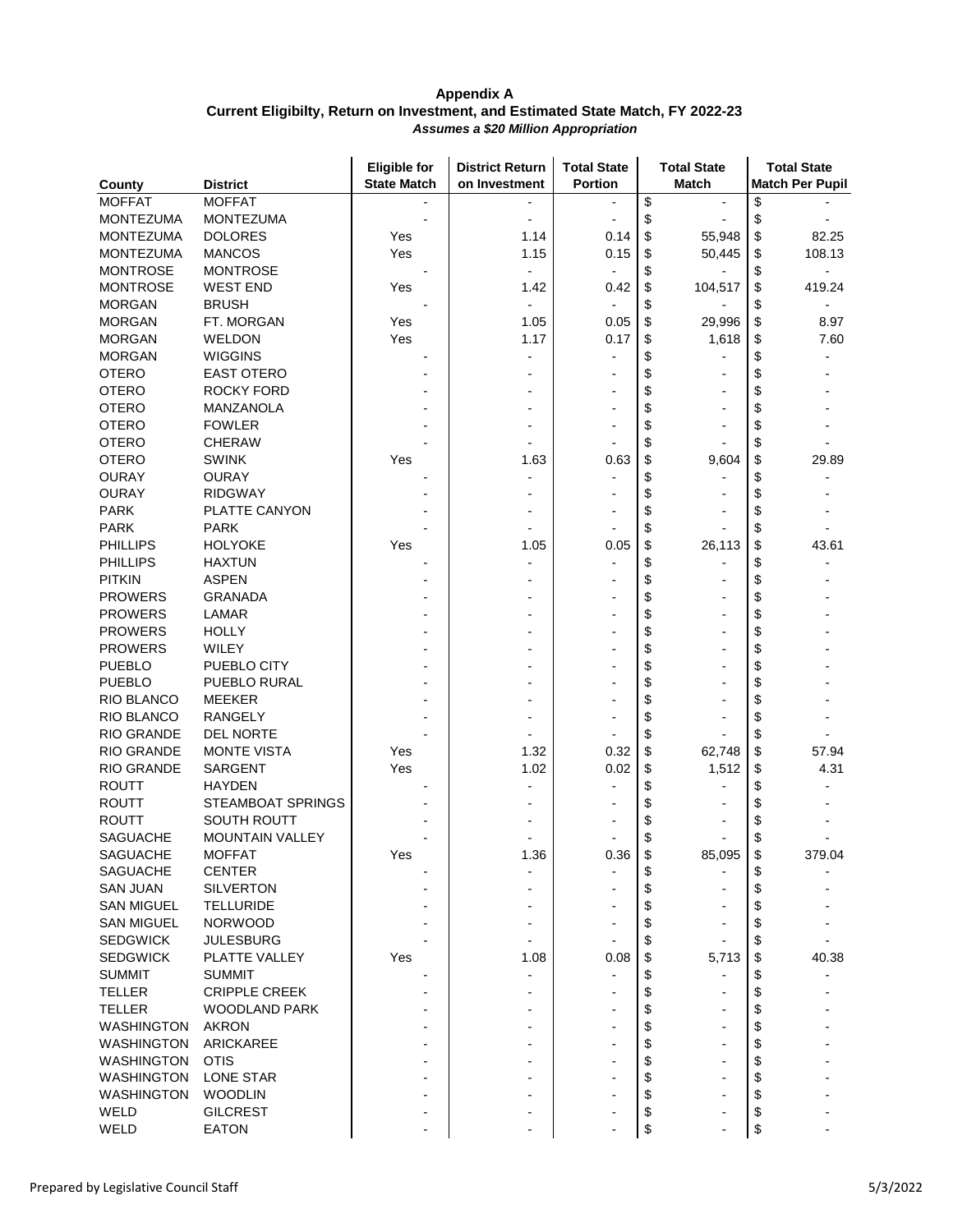|                                |                        | <b>Eligible for</b> | <b>District Return</b> | <b>Total State</b> | <b>Total State</b>   | <b>Total State</b>     |
|--------------------------------|------------------------|---------------------|------------------------|--------------------|----------------------|------------------------|
| County                         | <b>District</b>        | <b>State Match</b>  | on Investment          | <b>Portion</b>     | <b>Match</b>         | <b>Match Per Pupil</b> |
| <b>MOFFAT</b>                  | <b>MOFFAT</b>          |                     |                        |                    | \$<br>$\blacksquare$ | \$                     |
| <b>MONTEZUMA</b>               | <b>MONTEZUMA</b>       |                     |                        |                    | \$                   | \$                     |
| <b>MONTEZUMA</b>               | <b>DOLORES</b>         | Yes                 | 1.14                   | 0.14               | \$<br>55,948         | \$<br>82.25            |
| <b>MONTEZUMA</b>               | <b>MANCOS</b>          | Yes                 | 1.15                   | 0.15               | \$<br>50,445         | 108.13<br>\$           |
| <b>MONTROSE</b>                | <b>MONTROSE</b>        |                     | $\overline{a}$         |                    | \$                   | \$<br>$\blacksquare$   |
| <b>MONTROSE</b>                | <b>WEST END</b>        | Yes                 | 1.42                   | 0.42               | \$<br>104,517        | \$<br>419.24           |
| <b>MORGAN</b>                  | <b>BRUSH</b>           |                     |                        |                    | \$                   | \$                     |
| <b>MORGAN</b>                  | FT. MORGAN             | Yes                 | 1.05                   | 0.05               | \$<br>29,996         | \$<br>8.97             |
| <b>MORGAN</b>                  | <b>WELDON</b>          | Yes                 | 1.17                   | 0.17               | \$<br>1,618          | \$<br>7.60             |
| <b>MORGAN</b>                  | <b>WIGGINS</b>         |                     |                        |                    | \$                   | \$                     |
| <b>OTERO</b>                   | <b>EAST OTERO</b>      |                     |                        |                    | \$                   | \$                     |
| <b>OTERO</b>                   | ROCKY FORD             |                     |                        |                    | \$                   |                        |
| <b>OTERO</b>                   | MANZANOLA              |                     |                        |                    | \$                   | \$                     |
| <b>OTERO</b>                   | <b>FOWLER</b>          |                     |                        |                    | \$                   | \$                     |
| <b>OTERO</b>                   | <b>CHERAW</b>          |                     |                        |                    | \$                   | \$                     |
| <b>OTERO</b>                   | <b>SWINK</b>           | Yes                 | 1.63                   | 0.63               | \$<br>9,604          | \$<br>29.89            |
| <b>OURAY</b>                   | <b>OURAY</b>           |                     |                        |                    | \$                   | \$                     |
| <b>OURAY</b>                   | <b>RIDGWAY</b>         |                     |                        |                    | \$                   | \$                     |
| <b>PARK</b>                    | PLATTE CANYON          |                     |                        |                    | \$                   | \$                     |
|                                |                        |                     |                        |                    |                      |                        |
| <b>PARK</b>                    | <b>PARK</b>            |                     |                        |                    | \$                   | \$                     |
| <b>PHILLIPS</b>                | <b>HOLYOKE</b>         | Yes                 | 1.05                   | 0.05               | \$<br>26,113         | \$<br>43.61            |
| <b>PHILLIPS</b>                | <b>HAXTUN</b>          |                     |                        |                    | \$                   | \$                     |
| <b>PITKIN</b>                  | <b>ASPEN</b>           |                     |                        |                    | \$                   | \$                     |
| <b>PROWERS</b>                 | <b>GRANADA</b>         |                     |                        |                    | \$                   | \$                     |
| <b>PROWERS</b>                 | LAMAR                  |                     |                        |                    | \$                   | \$                     |
| <b>PROWERS</b>                 | <b>HOLLY</b>           |                     |                        |                    | \$                   | \$                     |
| <b>PROWERS</b>                 | WILEY                  |                     |                        |                    | \$                   | \$                     |
| <b>PUEBLO</b>                  | PUEBLO CITY            |                     |                        |                    | \$                   | \$                     |
| <b>PUEBLO</b>                  | PUEBLO RURAL           |                     |                        |                    | \$                   | \$                     |
| RIO BLANCO                     | <b>MEEKER</b>          |                     |                        |                    | \$                   | \$                     |
| RIO BLANCO                     | <b>RANGELY</b>         |                     |                        |                    | \$                   | \$                     |
| RIO GRANDE                     | <b>DEL NORTE</b>       |                     |                        |                    | \$                   | \$                     |
| <b>RIO GRANDE</b>              | <b>MONTE VISTA</b>     | Yes                 | 1.32                   | 0.32               | \$<br>62,748         | \$<br>57.94            |
| RIO GRANDE                     | <b>SARGENT</b>         | Yes                 | 1.02                   | 0.02               | \$<br>1,512          | \$<br>4.31             |
| <b>ROUTT</b>                   | <b>HAYDEN</b>          |                     |                        |                    | \$                   | \$                     |
| <b>ROUTT</b>                   | STEAMBOAT SPRINGS      |                     |                        |                    | \$                   | \$                     |
| <b>ROUTT</b>                   | SOUTH ROUTT            |                     |                        |                    | \$                   |                        |
| <b>SAGUACHE</b>                | <b>MOUNTAIN VALLEY</b> |                     |                        |                    | \$                   | \$                     |
| SAGUACHE                       | <b>MOFFAT</b>          | Yes                 | 1.36                   | 0.36               | 85,095<br>Φ          | 379.04<br>Φ            |
| <b>SAGUACHE</b>                | <b>CENTER</b>          |                     |                        |                    | \$                   | \$                     |
| <b>SAN JUAN</b>                | <b>SILVERTON</b>       |                     |                        |                    | \$                   |                        |
| <b>SAN MIGUEL</b>              | <b>TELLURIDE</b>       |                     |                        |                    | \$                   | \$                     |
| <b>SAN MIGUEL</b>              | <b>NORWOOD</b>         |                     |                        |                    | \$                   |                        |
| <b>SEDGWICK</b>                | <b>JULESBURG</b>       |                     |                        |                    | \$                   | \$                     |
| <b>SEDGWICK</b>                | PLATTE VALLEY          | Yes                 | 1.08                   | 0.08               | \$<br>5,713          | 40.38<br>S             |
| <b>SUMMIT</b>                  | <b>SUMMIT</b>          |                     |                        |                    |                      |                        |
|                                |                        |                     |                        |                    | \$                   | \$                     |
| <b>TELLER</b><br><b>TELLER</b> | <b>CRIPPLE CREEK</b>   |                     |                        |                    | \$                   | \$                     |
|                                | <b>WOODLAND PARK</b>   |                     |                        |                    | \$                   | \$                     |
| <b>WASHINGTON</b>              | <b>AKRON</b>           |                     |                        |                    | \$<br>۰              | \$                     |
| <b>WASHINGTON</b>              | ARICKAREE              |                     |                        |                    | \$                   |                        |
| <b>WASHINGTON</b>              | <b>OTIS</b>            |                     |                        |                    | \$                   | \$                     |
| <b>WASHINGTON</b>              | <b>LONE STAR</b>       |                     |                        |                    | \$                   | \$                     |
| <b>WASHINGTON</b>              | <b>WOODLIN</b>         |                     |                        |                    | \$                   | \$                     |
| WELD                           | <b>GILCREST</b>        |                     |                        |                    | \$                   | \$                     |
| WELD                           | EATON                  |                     |                        |                    | \$                   | \$                     |